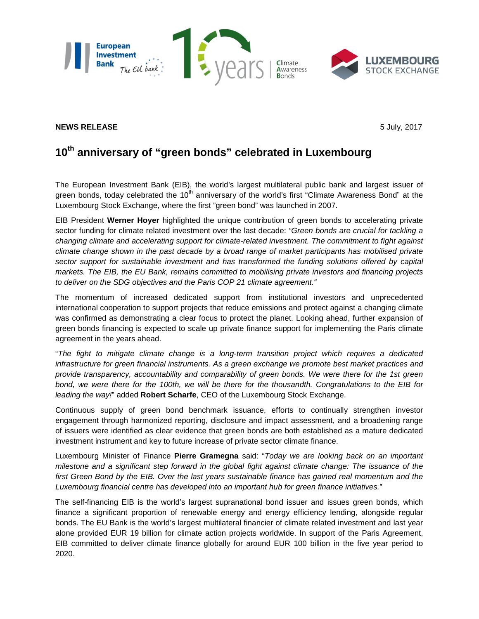

## **NEWS RELEASE** 5 July, 2017

## **10th anniversary of "green bonds" celebrated in Luxembourg**

The European Investment Bank (EIB), the world's largest multilateral public bank and largest issuer of green bonds, today celebrated the  $10<sup>th</sup>$  anniversary of the world's first "Climate Awareness Bond" at the Luxembourg Stock Exchange, where the first "green bond" was launched in 2007.

EIB President **Werner Hoyer** highlighted the unique contribution of green bonds to accelerating private sector funding for climate related investment over the last decade: *"Green bonds are crucial for tackling a changing climate and accelerating support for climate-related investment. The commitment to fight against climate change shown in the past decade by a broad range of market participants has mobilised private*  sector support for sustainable investment and has transformed the funding solutions offered by capital *markets. The EIB, the EU Bank, remains committed to mobilising private investors and financing projects to deliver on the SDG objectives and the Paris COP 21 climate agreement."*

The momentum of increased dedicated support from institutional investors and unprecedented international cooperation to support projects that reduce emissions and protect against a changing climate was confirmed as demonstrating a clear focus to protect the planet. Looking ahead, further expansion of green bonds financing is expected to scale up private finance support for implementing the Paris climate agreement in the years ahead.

"*The fight to mitigate climate change is a long-term transition project which requires a dedicated infrastructure for green financial instruments. As a green exchange we promote best market practices and provide transparency, accountability and comparability of green bonds. We were there for the 1st green bond, we were there for the 100th, we will be there for the thousandth. Congratulations to the EIB for leading the way!*" added **Robert Scharfe**, CEO of the Luxembourg Stock Exchange.

Continuous supply of green bond benchmark issuance, efforts to continually strengthen investor engagement through harmonized reporting, disclosure and impact assessment, and a broadening range of issuers were identified as clear evidence that green bonds are both established as a mature dedicated investment instrument and key to future increase of private sector climate finance.

Luxembourg Minister of Finance **Pierre Gramegna** said: "*Today we are looking back on an important milestone and a significant step forward in the global fight against climate change: The issuance of the*  first Green Bond by the EIB. Over the last years sustainable finance has gained real momentum and the *Luxembourg financial centre has developed into an important hub for green finance initiatives.*"

The self-financing EIB is the world's largest supranational bond issuer and issues green bonds, which finance a significant proportion of renewable energy and energy efficiency lending, alongside regular bonds. The EU Bank is the world's largest multilateral financier of climate related investment and last year alone provided EUR 19 billion for climate action projects worldwide. In support of the Paris Agreement, EIB committed to deliver climate finance globally for around EUR 100 billion in the five year period to 2020.